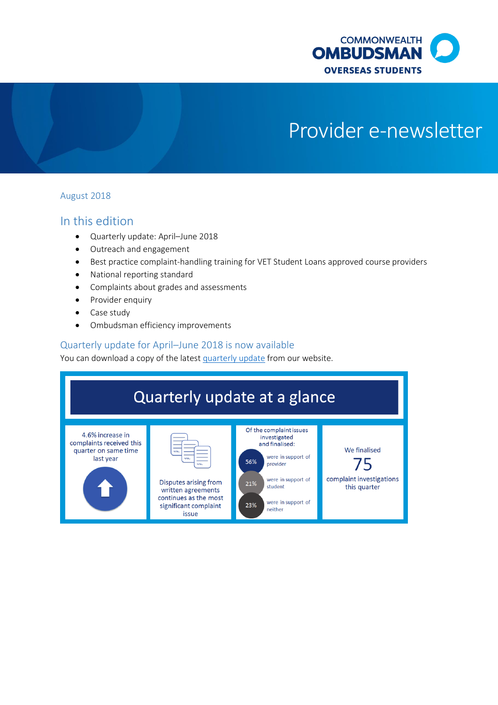

# Provider e-newsletter

#### August 2018

# In this edition

- Quarterly update: April–June 2018
- Outreach and engagement
- Best practice complaint-handling training for VET Student Loans approved course providers
- National reporting standard
- Complaints about grades and assessments
- Provider enquiry
- Case study
- Ombudsman efficiency improvements

#### Quarterly update for April–June 2018 is now available

You can download a copy of the lates[t quarterly update](http://www.ombudsman.gov.au/publications/oso-publications/reports/oso-quarterly-reports) from our website.

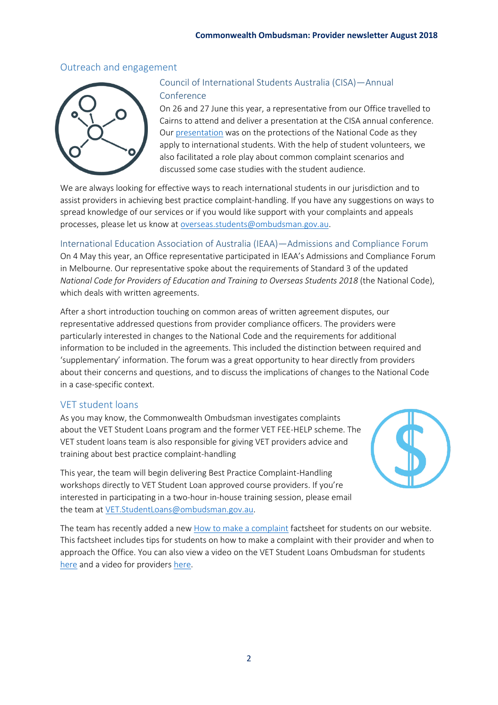## Outreach and engagement



## Council of International Students Australia (CISA)—Annual Conference

On 26 and 27 June this year, a representative from our Office travelled to Cairns to attend and deliver a presentation at the CISA annual conference. Our [presentation](http://www.ombudsman.gov.au/__data/assets/pdf_file/0025/85840/Overseas-Students-Ombudsman-presentation-to-CISA-June-2018.pdf) was on the protections of the National Code as they apply to international students. With the help of student volunteers, we also facilitated a role play about common complaint scenarios and discussed some case studies with the student audience.

We are always looking for effective ways to reach international students in our jurisdiction and to assist providers in achieving best practice complaint-handling. If you have any suggestions on ways to spread knowledge of our services or if you would like support with your complaints and appeals processes, please let us know at [overseas.students@ombudsman.gov.au.](mailto:overseas.students@ombudsman.gov.au)

#### International Education Association of Australia (IEAA)—Admissions and Compliance Forum

On 4 May this year, an Office representative participated in IEAA's Admissions and Compliance Forum in Melbourne. Our representative spoke about the requirements of Standard 3 of the updated *National Code for Providers of Education and Training to Overseas Students 2018* (the National Code), which deals with written agreements.

After a short introduction touching on common areas of written agreement disputes, our representative addressed questions from provider compliance officers. The providers were particularly interested in changes to the National Code and the requirements for additional information to be included in the agreements. This included the distinction between required and 'supplementary' information. The forum was a great opportunity to hear directly from providers about their concerns and questions, and to discuss the implications of changes to the National Code in a case-specific context.

## VET student loans

As you may know, the Commonwealth Ombudsman investigates complaints about the VET Student Loans program and the former VET FEE-HELP scheme. The VET student loans team is also responsible for giving VET providers advice and training about best practice complaint-handling

This year, the team will begin delivering Best Practice Complaint-Handling workshops directly to VET Student Loan approved course providers. If you're interested in participating in a two-hour in-house training session, please email the team at [VET.StudentLoans@ombudsman.gov.au.](mailto:VET.StudentLoans@ombudsman.gov.au)

The team has recently added a ne[w How to make a complaint](http://www.ombudsman.gov.au/__data/assets/pdf_file/0026/86804/How-to-raise-a-complaint.pdf) factsheet for students on our website. This factsheet includes tips for students on how to make a complaint with their provider and when to approach the Office. You can also view a video on the VET Student Loans Ombudsman for students [here](https://www.youtube.com/watch?v=KOOWh09xTUE) and a video for providers [here.](https://youtu.be/c2WgaGdrw68)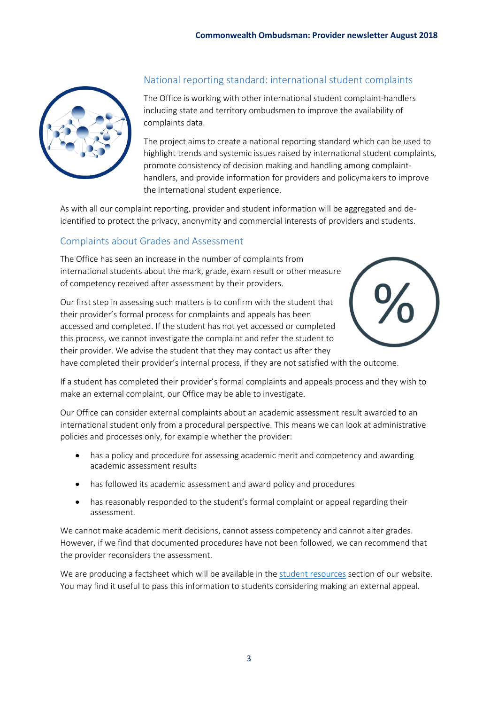

# National reporting standard: international student complaints

The Office is working with other international student complaint-handlers including state and territory ombudsmen to improve the availability of complaints data.

The project aims to create a national reporting standard which can be used to highlight trends and systemic issues raised by international student complaints, promote consistency of decision making and handling among complainthandlers, and provide information for providers and policymakers to improve the international student experience.

As with all our complaint reporting, provider and student information will be aggregated and deidentified to protect the privacy, anonymity and commercial interests of providers and students.

## Complaints about Grades and Assessment

The Office has seen an increase in the number of complaints from international students about the mark, grade, exam result or other measure of competency received after assessment by their providers.

Our first step in assessing such matters is to confirm with the student that their provider's formal process for complaints and appeals has been accessed and completed. If the student has not yet accessed or completed this process, we cannot investigate the complaint and refer the student to their provider. We advise the student that they may contact us after they



have completed their provider's internal process, if they are not satisfied with the outcome.

If a student has completed their provider's formal complaints and appeals process and they wish to make an external complaint, our Office may be able to investigate.

Our Office can consider external complaints about an academic assessment result awarded to an international student only from a procedural perspective. This means we can look at administrative policies and processes only, for example whether the provider:

- has a policy and procedure for assessing academic merit and competency and awarding academic assessment results
- has followed its academic assessment and award policy and procedures
- has reasonably responded to the student's formal complaint or appeal regarding their assessment.

We cannot make academic merit decisions, cannot assess competency and cannot alter grades. However, if we find that documented procedures have not been followed, we can recommend that the provider reconsiders the assessment.

We are producing a factsheet which will be available in the [student resources](http://www.ombudsman.gov.au/about/overseas-students/oso-publications#for_students) section of our website. You may find it useful to pass this information to students considering making an external appeal.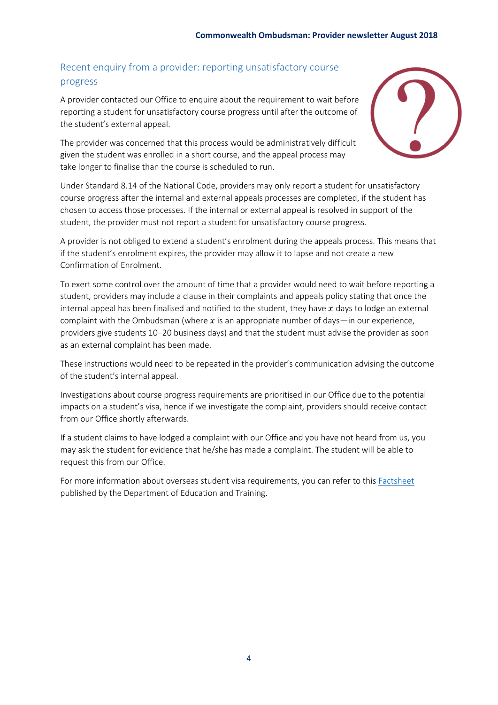# Recent enquiry from a provider: reporting unsatisfactory course progress

A provider contacted our Office to enquire about the requirement to wait before reporting a student for unsatisfactory course progress until after the outcome of the student's external appeal.

The provider was concerned that this process would be administratively difficult given the student was enrolled in a short course, and the appeal process may take longer to finalise than the course is scheduled to run.



Under Standard 8.14 of the National Code, providers may only report a student for unsatisfactory course progress after the internal and external appeals processes are completed, if the student has chosen to access those processes. If the internal or external appeal is resolved in support of the student, the provider must not report a student for unsatisfactory course progress.

A provider is not obliged to extend a student's enrolment during the appeals process. This means that if the student's enrolment expires, the provider may allow it to lapse and not create a new Confirmation of Enrolment.

To exert some control over the amount of time that a provider would need to wait before reporting a student, providers may include a clause in their complaints and appeals policy stating that once the internal appeal has been finalised and notified to the student, they have  $x$  days to lodge an external complaint with the Ombudsman (where  $x$  is an appropriate number of days—in our experience, providers give students 10–20 business days) and that the student must advise the provider as soon as an external complaint has been made.

These instructions would need to be repeated in the provider's communication advising the outcome of the student's internal appeal.

Investigations about course progress requirements are prioritised in our Office due to the potential impacts on a student's visa, hence if we investigate the complaint, providers should receive contact from our Office shortly afterwards.

If a student claims to have lodged a complaint with our Office and you have not heard from us, you may ask the student for evidence that he/she has made a complaint. The student will be able to request this from our Office.

For more information about overseas student visa requirements, you can refer to this [Factsheet](https://internationaleducation.gov.au/Regulatory-Information/Documents/National%20Code%202018%20Factsheets/Standard%208.pdf) published by the Department of Education and Training.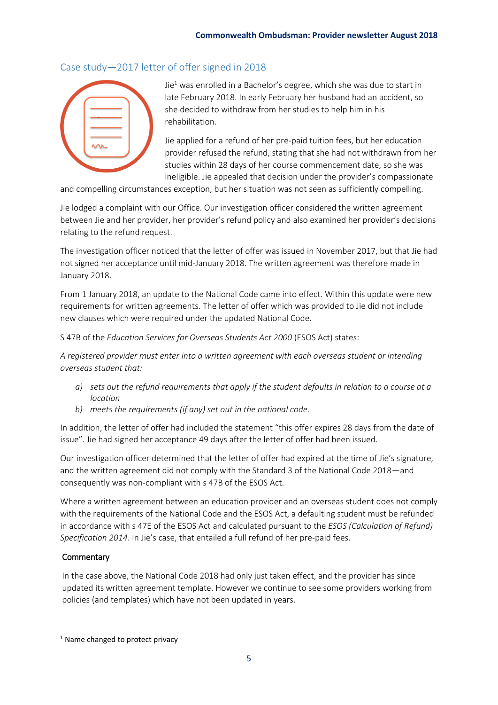## Case study—2017 letter of offer signed in 2018



 $Jie<sup>1</sup>$  was enrolled in a Bachelor's degree, which she was due to start in late February 2018. In early February her husband had an accident, so she decided to withdraw from her studies to help him in his rehabilitation.

Jie applied for a refund of her pre-paid tuition fees, but her education provider refused the refund, stating that she had not withdrawn from her studies within 28 days of her course commencement date, so she was ineligible. Jie appealed that decision under the provider's compassionate

and compelling circumstances exception, but her situation was not seen as sufficiently compelling.

Jie lodged a complaint with our Office. Our investigation officer considered the written agreement between Jie and her provider, her provider's refund policy and also examined her provider's decisions relating to the refund request.

The investigation officer noticed that the letter of offer was issued in November 2017, but that Jie had not signed her acceptance until mid-January 2018. The written agreement was therefore made in January 2018.

From 1 January 2018, an update to the National Code came into effect. Within this update were new requirements for written agreements. The letter of offer which was provided to Jie did not include new clauses which were required under the updated National Code.

S 47B of the *Education Services for Overseas Students Act 2000* (ESOS Act) states:

*A registered provider must enter into a written agreement with each overseas student or intending overseas student that:*

- *a) sets out the refund requirements that apply if the student defaults in relation to a course at a location*
- *b) meets the requirements (if any) set out in the national code.*

In addition, the letter of offer had included the statement "this offer expires 28 days from the date of issue". Jie had signed her acceptance 49 days after the letter of offer had been issued.

Our investigation officer determined that the letter of offer had expired at the time of Jie's signature, and the written agreement did not comply with the Standard 3 of the National Code 2018—and consequently was non-compliant with s 47B of the ESOS Act.

Where a written agreement between an education provider and an overseas student does not comply with the requirements of the National Code and the ESOS Act, a defaulting student must be refunded in accordance with s 47E of the ESOS Act and calculated pursuant to the *ESOS (Calculation of Refund) Specification 2014*. In Jie's case, that entailed a full refund of her pre-paid fees.

#### **Commentary**

**.** 

In the case above, the National Code 2018 had only just taken effect, and the provider has since updated its written agreement template. However we continue to see some providers working from policies (and templates) which have not been updated in years.

<sup>&</sup>lt;sup>1</sup> Name changed to protect privacy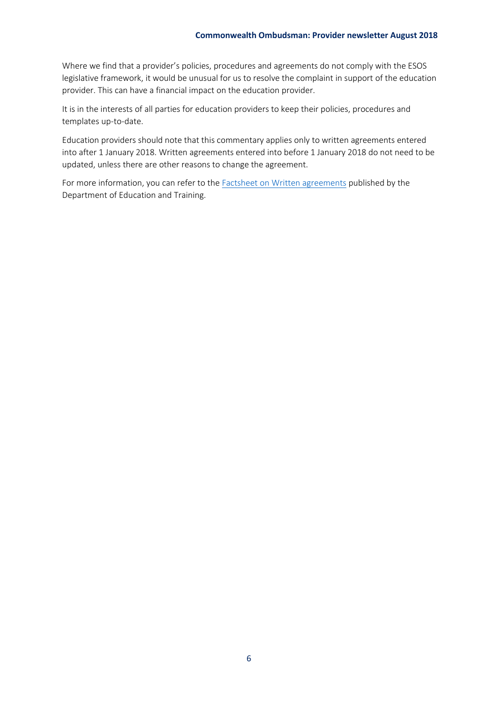Where we find that a provider's policies, procedures and agreements do not comply with the ESOS legislative framework, it would be unusual for us to resolve the complaint in support of the education provider. This can have a financial impact on the education provider.

It is in the interests of all parties for education providers to keep their policies, procedures and templates up-to-date.

Education providers should note that this commentary applies only to written agreements entered into after 1 January 2018. Written agreements entered into before 1 January 2018 do not need to be updated, unless there are other reasons to change the agreement.

For more information, you can refer to the [Factsheet on Written agreements](https://internationaleducation.gov.au/Regulatory-Information/Documents/National%20Code%202018%20Factsheets/Standard%203.pdf) published by the Department of Education and Training.